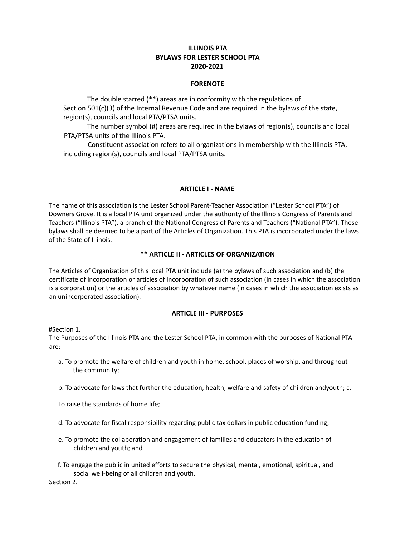# **ILLINOIS PTA BYLAWS FOR LESTER SCHOOL PTA 2020-2021**

## **FORENOTE**

The double starred (\*\*) areas are in conformity with the regulations of Section 501(c)(3) of the Internal Revenue Code and are required in the bylaws of the state, region(s), councils and local PTA/PTSA units.

The number symbol (#) areas are required in the bylaws of region(s), councils and local PTA/PTSA units of the Illinois PTA.

Constituent association refers to all organizations in membership with the Illinois PTA, including region(s), councils and local PTA/PTSA units.

## **ARTICLE I - NAME**

The name of this association is the Lester School Parent-Teacher Association ("Lester School PTA") of Downers Grove. It is a local PTA unit organized under the authority of the Illinois Congress of Parents and Teachers ("Illinois PTA"), a branch of the National Congress of Parents and Teachers ("National PTA"). These bylaws shall be deemed to be a part of the Articles of Organization. This PTA is incorporated under the laws of the State of Illinois.

# **\*\* ARTICLE II - ARTICLES OF ORGANIZATION**

The Articles of Organization of this local PTA unit include (a) the bylaws of such association and (b) the certificate of incorporation or articles of incorporation of such association (in cases in which the association is a corporation) or the articles of association by whatever name (in cases in which the association exists as an unincorporated association).

# **ARTICLE III - PURPOSES**

#Section 1.

The Purposes of the Illinois PTA and the Lester School PTA, in common with the purposes of National PTA are:

- a. To promote the welfare of children and youth in home, school, places of worship, and throughout the community;
- b. To advocate for laws that further the education, health, welfare and safety of children andyouth; c.
- To raise the standards of home life;
- d. To advocate for fiscal responsibility regarding public tax dollars in public education funding;
- e. To promote the collaboration and engagement of families and educators in the education of children and youth; and
- f. To engage the public in united efforts to secure the physical, mental, emotional, spiritual, and social well-being of all children and youth.

Section 2.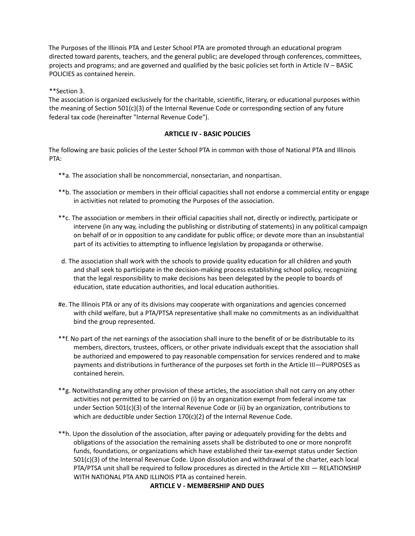The Purposes of the Illinois PTA and Lester School PTA are promoted through an educational program directed toward parents, teachers, and the general public; are developed through conferences, committees, projects and programs; and are governed and qualified by the basic policies set forth in Article IV – BASIC POLICIES as contained herein.

\*\*Section 3.

The association is organized exclusively for the charitable, scientific, literary, or educational purposes within the meaning of Section 501(c)(3) of the Internal Revenue Code or corresponding section of any future federal tax code (hereinafter "Internal Revenue Code").

# **ARTICLE IV - BASIC POLICIES**

The following are basic policies of the Lester School PTA in common with those of National PTA and Illinois PTA:

- \*\*a. The association shall be noncommercial, nonsectarian, and nonpartisan.
- \*\*b. The association or members in their official capacities shall not endorse a commercial entity or engage in activities not related to promoting the Purposes of the association.
- \*\*c. The association or members in their official capacities shall not, directly or indirectly, participate or intervene (in any way, including the publishing or distributing of statements) in any political campaign on behalf of or in opposition to any candidate for public office; or devote more than an insubstantial part of its activities to attempting to influence legislation by propaganda or otherwise.
- d. The association shall work with the schools to provide quality education for all children and youth and shall seek to participate in the decision-making process establishing school policy, recognizing that the legal responsibility to make decisions has been delegated by the people to boards of education, state education authorities, and local education authorities.
- #e. The Illinois PTA or any of its divisions may cooperate with organizations and agencies concerned with child welfare, but a PTA/PTSA representative shall make no commitments as an individualthat bind the group represented.
- \*\*f. No part of the net earnings of the association shall inure to the benefit of or be distributable to its members, directors, trustees, officers, or other private individuals except that the association shall be authorized and empowered to pay reasonable compensation for services rendered and to make payments and distributions in furtherance of the purposes set forth in the Article III—PURPOSES as contained herein.
- \*\*g. Notwithstanding any other provision of these articles, the association shall not carry on any other activities not permitted to be carried on (i) by an organization exempt from federal income tax under Section 501(c)(3) of the Internal Revenue Code or (ii) by an organization, contributions to which are deductible under Section 170(c)(2) of the Internal Revenue Code.
- \*\*h. Upon the dissolution of the association, after paying or adequately providing for the debts and obligations of the association the remaining assets shall be distributed to one or more nonprofit funds, foundations, or organizations which have established their tax-exempt status under Section 501(c)(3) of the Internal Revenue Code. Upon dissolution and withdrawal of the charter, each local PTA/PTSA unit shall be required to follow procedures as directed in the Article XIII — RELATIONSHIP WITH NATIONAL PTA AND ILLINOIS PTA as contained herein.

# **ARTICLE V - MEMBERSHIP AND DUES**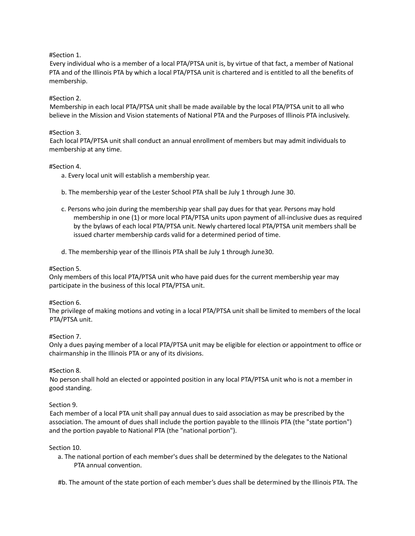## #Section 1.

Every individual who is a member of a local PTA/PTSA unit is, by virtue of that fact, a member of National PTA and of the Illinois PTA by which a local PTA/PTSA unit is chartered and is entitled to all the benefits of membership.

## #Section 2.

Membership in each local PTA/PTSA unit shall be made available by the local PTA/PTSA unit to all who believe in the Mission and Vision statements of National PTA and the Purposes of Illinois PTA inclusively.

## #Section 3.

Each local PTA/PTSA unit shall conduct an annual enrollment of members but may admit individuals to membership at any time.

## #Section 4.

- a. Every local unit will establish a membership year.
- b. The membership year of the Lester School PTA shall be July 1 through June 30.
- c. Persons who join during the membership year shall pay dues for that year. Persons may hold membership in one (1) or more local PTA/PTSA units upon payment of all-inclusive dues as required by the bylaws of each local PTA/PTSA unit. Newly chartered local PTA/PTSA unit members shall be issued charter membership cards valid for a determined period of time.
- d. The membership year of the Illinois PTA shall be July 1 through June30.

## #Section 5.

Only members of this local PTA/PTSA unit who have paid dues for the current membership year may participate in the business of this local PTA/PTSA unit.

## #Section 6.

The privilege of making motions and voting in a local PTA/PTSA unit shall be limited to members of the local PTA/PTSA unit.

## #Section 7.

Only a dues paying member of a local PTA/PTSA unit may be eligible for election or appointment to office or chairmanship in the Illinois PTA or any of its divisions.

## #Section 8.

No person shall hold an elected or appointed position in any local PTA/PTSA unit who is not a member in good standing.

## Section 9.

Each member of a local PTA unit shall pay annual dues to said association as may be prescribed by the association. The amount of dues shall include the portion payable to the Illinois PTA (the "state portion") and the portion payable to National PTA (the "national portion").

## Section 10.

a. The national portion of each member's dues shall be determined by the delegates to the National PTA annual convention.

#b. The amount of the state portion of each member's dues shall be determined by the Illinois PTA. The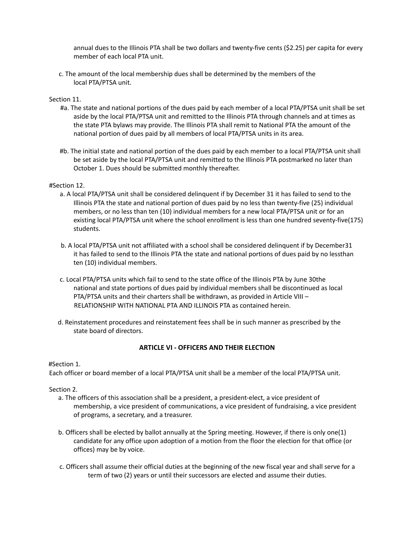annual dues to the Illinois PTA shall be two dollars and twenty-five cents (\$2.25) per capita for every member of each local PTA unit.

c. The amount of the local membership dues shall be determined by the members of the local PTA/PTSA unit.

## Section 11.

- #a. The state and national portions of the dues paid by each member of a local PTA/PTSA unit shall be set aside by the local PTA/PTSA unit and remitted to the Illinois PTA through channels and at times as the state PTA bylaws may provide. The Illinois PTA shall remit to National PTA the amount of the national portion of dues paid by all members of local PTA/PTSA units in its area.
- #b. The initial state and national portion of the dues paid by each member to a local PTA/PTSA unit shall be set aside by the local PTA/PTSA unit and remitted to the Illinois PTA postmarked no later than October 1. Dues should be submitted monthly thereafter.

## #Section 12.

- a. A local PTA/PTSA unit shall be considered delinquent if by December 31 it has failed to send to the Illinois PTA the state and national portion of dues paid by no less than twenty-five (25) individual members, or no less than ten (10) individual members for a new local PTA/PTSA unit or for an existing local PTA/PTSA unit where the school enrollment is less than one hundred seventy-five(175) students.
- b. A local PTA/PTSA unit not affiliated with a school shall be considered delinquent if by December31 it has failed to send to the Illinois PTA the state and national portions of dues paid by no lessthan ten (10) individual members.
- c. Local PTA/PTSA units which fail to send to the state office of the Illinois PTA by June 30the national and state portions of dues paid by individual members shall be discontinued as local PTA/PTSA units and their charters shall be withdrawn, as provided in Article VIII – RELATIONSHIP WITH NATIONAL PTA AND ILLINOIS PTA as contained herein.
- d. Reinstatement procedures and reinstatement fees shall be in such manner as prescribed by the state board of directors.

## **ARTICLE VI - OFFICERS AND THEIR ELECTION**

## #Section 1.

Each officer or board member of a local PTA/PTSA unit shall be a member of the local PTA/PTSA unit.

Section 2.

- a. The officers of this association shall be a president, a president-elect, a vice president of membership, a vice president of communications, a vice president of fundraising, a vice president of programs, a secretary, and a treasurer.
- b. Officers shall be elected by ballot annually at the Spring meeting. However, if there is only one(1) candidate for any office upon adoption of a motion from the floor the election for that office (or offices) may be by voice.
- c. Officers shall assume their official duties at the beginning of the new fiscal year and shall serve for a term of two (2) years or until their successors are elected and assume their duties.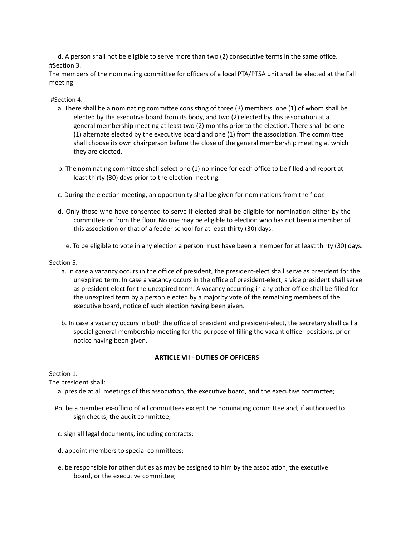d. A person shall not be eligible to serve more than two (2) consecutive terms in the same office. #Section 3.

The members of the nominating committee for officers of a local PTA/PTSA unit shall be elected at the Fall meeting

## #Section 4.

- a. There shall be a nominating committee consisting of three (3) members, one (1) of whom shall be elected by the executive board from its body, and two (2) elected by this association at a general membership meeting at least two (2) months prior to the election. There shall be one (1) alternate elected by the executive board and one (1) from the association. The committee shall choose its own chairperson before the close of the general membership meeting at which they are elected.
- b. The nominating committee shall select one (1) nominee for each office to be filled and report at least thirty (30) days prior to the election meeting.
- c. During the election meeting, an opportunity shall be given for nominations from the floor.
- d. Only those who have consented to serve if elected shall be eligible for nomination either by the committee or from the floor. No one may be eligible to election who has not been a member of this association or that of a feeder school for at least thirty (30) days.
	- e. To be eligible to vote in any election a person must have been a member for at least thirty (30) days.

## Section 5.

- a. In case a vacancy occurs in the office of president, the president-elect shall serve as president for the unexpired term. In case a vacancy occurs in the office of president-elect, a vice president shall serve as president-elect for the unexpired term. A vacancy occurring in any other office shall be filled for the unexpired term by a person elected by a majority vote of the remaining members of the executive board, notice of such election having been given.
- b. In case a vacancy occurs in both the office of president and president-elect, the secretary shall call a special general membership meeting for the purpose of filling the vacant officer positions, prior notice having been given.

# **ARTICLE VII - DUTIES OF OFFICERS**

## Section 1.

The president shall:

- a. preside at all meetings of this association, the executive board, and the executive committee;
- #b. be a member ex-officio of all committees except the nominating committee and, if authorized to sign checks, the audit committee;
- c. sign all legal documents, including contracts;
- d. appoint members to special committees;
- e. be responsible for other duties as may be assigned to him by the association, the executive board, or the executive committee;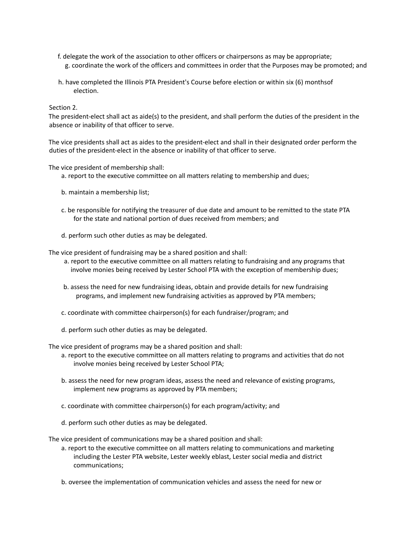- f. delegate the work of the association to other officers or chairpersons as may be appropriate; g. coordinate the work of the officers and committees in order that the Purposes may be promoted; and
- h. have completed the Illinois PTA President's Course before election or within six (6) monthsof election.

Section 2.

The president-elect shall act as aide(s) to the president, and shall perform the duties of the president in the absence or inability of that officer to serve.

The vice presidents shall act as aides to the president-elect and shall in their designated order perform the duties of the president-elect in the absence or inability of that officer to serve.

The vice president of membership shall:

- a. report to the executive committee on all matters relating to membership and dues;
- b. maintain a membership list;
- c. be responsible for notifying the treasurer of due date and amount to be remitted to the state PTA for the state and national portion of dues received from members; and
- d. perform such other duties as may be delegated.

The vice president of fundraising may be a shared position and shall:

- a. report to the executive committee on all matters relating to fundraising and any programs that involve monies being received by Lester School PTA with the exception of membership dues;
- b. assess the need for new fundraising ideas, obtain and provide details for new fundraising programs, and implement new fundraising activities as approved by PTA members;
- c. coordinate with committee chairperson(s) for each fundraiser/program; and
- d. perform such other duties as may be delegated.

The vice president of programs may be a shared position and shall:

- a. report to the executive committee on all matters relating to programs and activities that do not involve monies being received by Lester School PTA;
- b. assess the need for new program ideas, assess the need and relevance of existing programs, implement new programs as approved by PTA members;
- c. coordinate with committee chairperson(s) for each program/activity; and
- d. perform such other duties as may be delegated.

The vice president of communications may be a shared position and shall:

- a. report to the executive committee on all matters relating to communications and marketing including the Lester PTA website, Lester weekly eblast, Lester social media and district communications;
- b. oversee the implementation of communication vehicles and assess the need for new or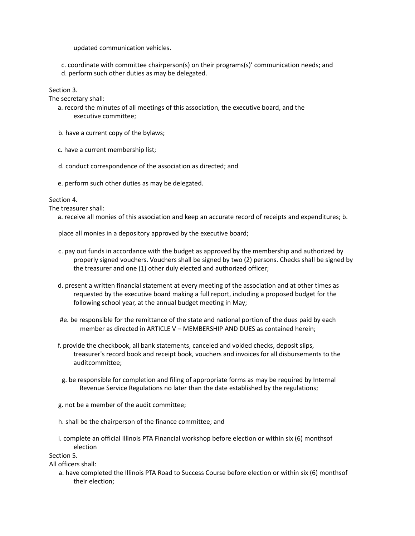updated communication vehicles.

c. coordinate with committee chairperson(s) on their programs(s)' communication needs; and d. perform such other duties as may be delegated.

Section 3.

The secretary shall:

- a. record the minutes of all meetings of this association, the executive board, and the executive committee;
- b. have a current copy of the bylaws;
- c. have a current membership list;
- d. conduct correspondence of the association as directed; and
- e. perform such other duties as may be delegated.

## Section 4.

The treasurer shall:

a. receive all monies of this association and keep an accurate record of receipts and expenditures; b.

place all monies in a depository approved by the executive board;

- c. pay out funds in accordance with the budget as approved by the membership and authorized by properly signed vouchers. Vouchers shall be signed by two (2) persons. Checks shall be signed by the treasurer and one (1) other duly elected and authorized officer;
- d. present a written financial statement at every meeting of the association and at other times as requested by the executive board making a full report, including a proposed budget for the following school year, at the annual budget meeting in May;
- #e. be responsible for the remittance of the state and national portion of the dues paid by each member as directed in ARTICLE V – MEMBERSHIP AND DUES as contained herein;
- f. provide the checkbook, all bank statements, canceled and voided checks, deposit slips, treasurer's record book and receipt book, vouchers and invoices for all disbursements to the auditcommittee;
- g. be responsible for completion and filing of appropriate forms as may be required by Internal Revenue Service Regulations no later than the date established by the regulations;
- g. not be a member of the audit committee;
- h. shall be the chairperson of the finance committee; and
- i. complete an official Illinois PTA Financial workshop before election or within six (6) monthsof election

Section 5.

All officers shall:

a. have completed the Illinois PTA Road to Success Course before election or within six (6) monthsof their election;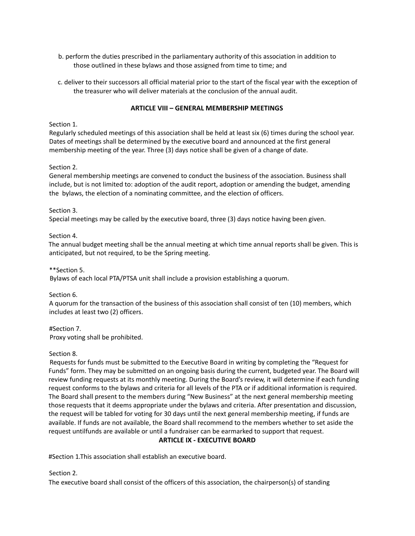- b. perform the duties prescribed in the parliamentary authority of this association in addition to those outlined in these bylaws and those assigned from time to time; and
- c. deliver to their successors all official material prior to the start of the fiscal year with the exception of the treasurer who will deliver materials at the conclusion of the annual audit.

# **ARTICLE VIII – GENERAL MEMBERSHIP MEETINGS**

## Section 1.

Regularly scheduled meetings of this association shall be held at least six (6) times during the school year. Dates of meetings shall be determined by the executive board and announced at the first general membership meeting of the year. Three (3) days notice shall be given of a change of date.

## Section 2.

General membership meetings are convened to conduct the business of the association. Business shall include, but is not limited to: adoption of the audit report, adoption or amending the budget, amending the bylaws, the election of a nominating committee, and the election of officers.

#### Section 3.

Special meetings may be called by the executive board, three (3) days notice having been given.

#### Section 4.

The annual budget meeting shall be the annual meeting at which time annual reports shall be given. This is anticipated, but not required, to be the Spring meeting.

\*\*Section 5.

Bylaws of each local PTA/PTSA unit shall include a provision establishing a quorum.

## Section 6.

A quorum for the transaction of the business of this association shall consist of ten (10) members, which includes at least two (2) officers.

## #Section 7.

Proxy voting shall be prohibited.

## Section 8.

Requests for funds must be submitted to the Executive Board in writing by completing the "Request for Funds" form. They may be submitted on an ongoing basis during the current, budgeted year. The Board will review funding requests at its monthly meeting. During the Board's review, it will determine if each funding request conforms to the bylaws and criteria for all levels of the PTA or if additional information is required. The Board shall present to the members during "New Business" at the next general membership meeting those requests that it deems appropriate under the bylaws and criteria. After presentation and discussion, the request will be tabled for voting for 30 days until the next general membership meeting, if funds are available. If funds are not available, the Board shall recommend to the members whether to set aside the request untilfunds are available or until a fundraiser can be earmarked to support that request.

## **ARTICLE IX - EXECUTIVE BOARD**

#Section 1.This association shall establish an executive board.

## Section 2.

The executive board shall consist of the officers of this association, the chairperson(s) of standing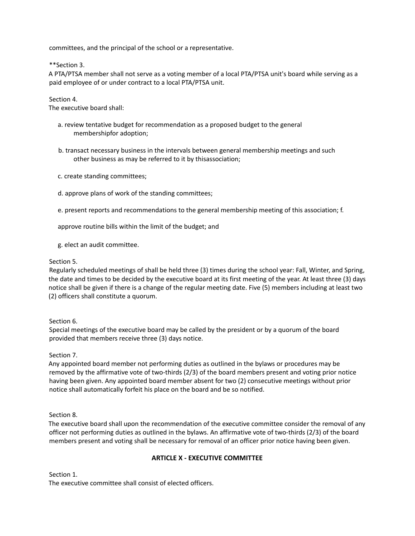committees, and the principal of the school or a representative.

\*\*Section 3.

A PTA/PTSA member shall not serve as a voting member of a local PTA/PTSA unit's board while serving as a paid employee of or under contract to a local PTA/PTSA unit.

Section 4.

The executive board shall:

- a. review tentative budget for recommendation as a proposed budget to the general membershipfor adoption;
- b. transact necessary business in the intervals between general membership meetings and such other business as may be referred to it by thisassociation;
- c. create standing committees;
- d. approve plans of work of the standing committees;
- e. present reports and recommendations to the general membership meeting of this association; f.

approve routine bills within the limit of the budget; and

g. elect an audit committee.

## Section 5.

Regularly scheduled meetings of shall be held three (3) times during the school year: Fall, Winter, and Spring, the date and times to be decided by the executive board at its first meeting of the year. At least three (3) days notice shall be given if there is a change of the regular meeting date. Five (5) members including at least two (2) officers shall constitute a quorum.

## Section 6.

Special meetings of the executive board may be called by the president or by a quorum of the board provided that members receive three (3) days notice.

## Section 7.

Any appointed board member not performing duties as outlined in the bylaws or procedures may be removed by the affirmative vote of two-thirds (2/3) of the board members present and voting prior notice having been given. Any appointed board member absent for two (2) consecutive meetings without prior notice shall automatically forfeit his place on the board and be so notified.

## Section 8.

The executive board shall upon the recommendation of the executive committee consider the removal of any officer not performing duties as outlined in the bylaws. An affirmative vote of two-thirds (2/3) of the board members present and voting shall be necessary for removal of an officer prior notice having been given.

## **ARTICLE X - EXECUTIVE COMMITTEE**

Section 1. The executive committee shall consist of elected officers.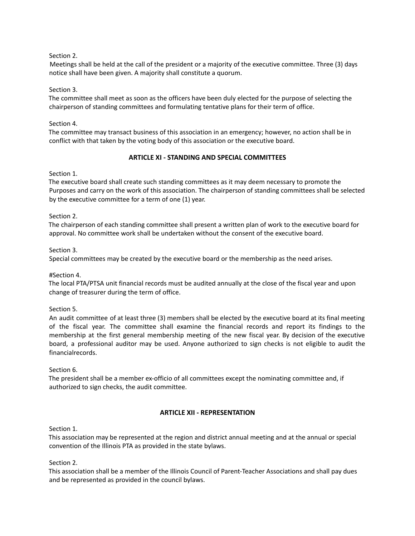Section 2.

Meetings shall be held at the call of the president or a majority of the executive committee. Three (3) days notice shall have been given. A majority shall constitute a quorum.

Section 3.

The committee shall meet as soon as the officers have been duly elected for the purpose of selecting the chairperson of standing committees and formulating tentative plans for their term of office.

Section 4.

The committee may transact business of this association in an emergency; however, no action shall be in conflict with that taken by the voting body of this association or the executive board.

## **ARTICLE XI - STANDING AND SPECIAL COMMITTEES**

Section 1.

The executive board shall create such standing committees as it may deem necessary to promote the Purposes and carry on the work of this association. The chairperson of standing committees shall be selected by the executive committee for a term of one (1) year.

Section 2.

The chairperson of each standing committee shall present a written plan of work to the executive board for approval. No committee work shall be undertaken without the consent of the executive board.

Section 3.

Special committees may be created by the executive board or the membership as the need arises.

#Section 4.

The local PTA/PTSA unit financial records must be audited annually at the close of the fiscal year and upon change of treasurer during the term of office.

Section 5.

An audit committee of at least three (3) members shall be elected by the executive board at its final meeting of the fiscal year. The committee shall examine the financial records and report its findings to the membership at the first general membership meeting of the new fiscal year. By decision of the executive board, a professional auditor may be used. Anyone authorized to sign checks is not eligible to audit the financialrecords.

Section 6.

The president shall be a member ex-officio of all committees except the nominating committee and, if authorized to sign checks, the audit committee.

# **ARTICLE XII - REPRESENTATION**

Section 1.

This association may be represented at the region and district annual meeting and at the annual or special convention of the Illinois PTA as provided in the state bylaws.

Section 2.

This association shall be a member of the Illinois Council of Parent-Teacher Associations and shall pay dues and be represented as provided in the council bylaws.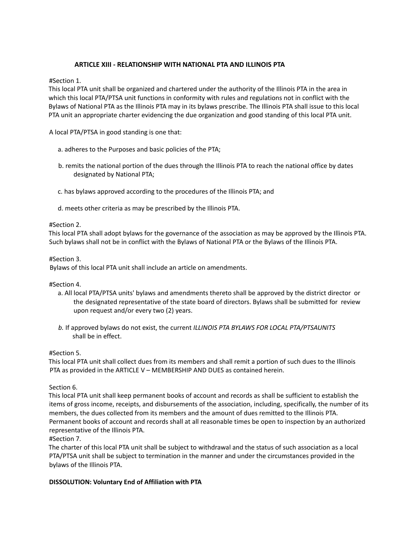# **ARTICLE XIII - RELATIONSHIP WITH NATIONAL PTA AND ILLINOIS PTA**

#Section 1.

This local PTA unit shall be organized and chartered under the authority of the Illinois PTA in the area in which this local PTA/PTSA unit functions in conformity with rules and regulations not in conflict with the Bylaws of National PTA as the Illinois PTA may in its bylaws prescribe. The Illinois PTA shall issue to this local PTA unit an appropriate charter evidencing the due organization and good standing of this local PTA unit.

A local PTA/PTSA in good standing is one that:

- a. adheres to the Purposes and basic policies of the PTA;
- b. remits the national portion of the dues through the Illinois PTA to reach the national office by dates designated by National PTA;
- c. has bylaws approved according to the procedures of the Illinois PTA; and
- d. meets other criteria as may be prescribed by the Illinois PTA.

#Section 2.

This local PTA shall adopt bylaws for the governance of the association as may be approved by the Illinois PTA. Such bylaws shall not be in conflict with the Bylaws of National PTA or the Bylaws of the Illinois PTA.

#Section 3.

Bylaws of this local PTA unit shall include an article on amendments.

#Section 4.

- a. All local PTA/PTSA units' bylaws and amendments thereto shall be approved by the district director or the designated representative of the state board of directors. Bylaws shall be submitted for review upon request and/or every two (2) years.
- *b.* If approved bylaws do not exist, the current *ILLINOIS PTA BYLAWS FOR LOCAL PTA/PTSAUNITS* shall be in effect.

#Section 5.

This local PTA unit shall collect dues from its members and shall remit a portion of such dues to the Illinois PTA as provided in the ARTICLE V – MEMBERSHIP AND DUES as contained herein.

Section 6.

This local PTA unit shall keep permanent books of account and records as shall be sufficient to establish the items of gross income, receipts, and disbursements of the association, including, specifically, the number of its members, the dues collected from its members and the amount of dues remitted to the Illinois PTA. Permanent books of account and records shall at all reasonable times be open to inspection by an authorized representative of the Illinois PTA.

#Section 7.

The charter of this local PTA unit shall be subject to withdrawal and the status of such association as a local PTA/PTSA unit shall be subject to termination in the manner and under the circumstances provided in the bylaws of the Illinois PTA.

## **DISSOLUTION: Voluntary End of Affiliation with PTA**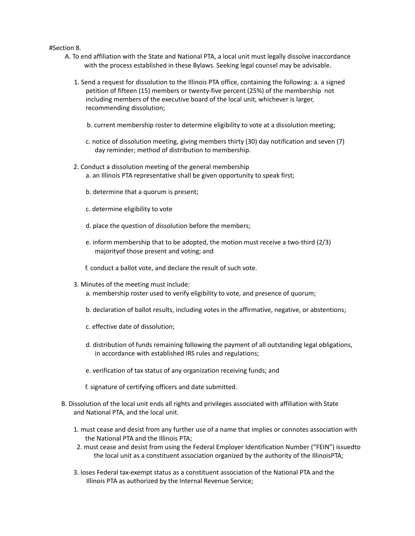#### #Section 8.

- A. To end affiliation with the State and National PTA, a local unit must legally dissolve inaccordance with the process established in these Bylaws. Seeking legal counsel may be advisable.
	- 1. Send a request for dissolution to the Illinois PTA office, containing the following: a. a signed petition of fifteen (15) members or twenty-five percent (25%) of the membership not including members of the executive board of the local unit, whichever is larger, recommending dissolution;
		- b. current membership roster to determine eligibility to vote at a dissolution meeting;
		- c. notice of dissolution meeting, giving members thirty (30) day notification and seven (7) day reminder; method of distribution to membership.
	- 2. Conduct a dissolution meeting of the general membership a. an Illinois PTA representative shall be given opportunity to speak first;
		- b. determine that a quorum is present;
		- c. determine eligibility to vote
		- d. place the question of dissolution before the members;
		- e. inform membership that to be adopted, the motion must receive a two-third (2/3) majorityof those present and voting; and
		- f. conduct a ballot vote, and declare the result of such vote.
	- 3. Minutes of the meeting must include:
		- a. membership roster used to verify eligibility to vote, and presence of quorum;
		- b. declaration of ballot results, including votes in the affirmative, negative, or abstentions;
		- c. effective date of dissolution;
		- d. distribution of funds remaining following the payment of all outstanding legal obligations, in accordance with established IRS rules and regulations;
		- e. verification of tax status of any organization receiving funds; and
		- f. signature of certifying officers and date submitted.
- B. Dissolution of the local unit ends all rights and privileges associated with affiliation with State and National PTA, and the local unit.
	- 1. must cease and desist from any further use of a name that implies or connotes association with the National PTA and the Illinois PTA;
	- 2. must cease and desist from using the Federal Employer Identification Number ("FEIN") issuedto the local unit as a constituent association organized by the authority of the IllinoisPTA;
	- 3. loses Federal tax-exempt status as a constituent association of the National PTA and the Illinois PTA as authorized by the Internal Revenue Service;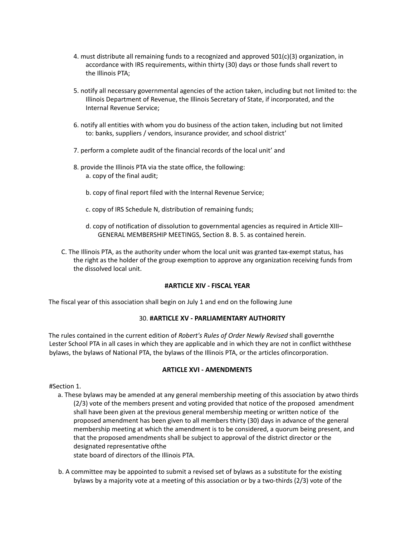- 4. must distribute all remaining funds to a recognized and approved 501(c)(3) organization, in accordance with IRS requirements, within thirty (30) days or those funds shall revert to the Illinois PTA;
- 5. notify all necessary governmental agencies of the action taken, including but not limited to: the Illinois Department of Revenue, the Illinois Secretary of State, if incorporated, and the Internal Revenue Service;
- 6. notify all entities with whom you do business of the action taken, including but not limited to: banks, suppliers / vendors, insurance provider, and school district'
- 7. perform a complete audit of the financial records of the local unit' and
- 8. provide the Illinois PTA via the state office, the following: a. copy of the final audit;
	- b. copy of final report filed with the Internal Revenue Service;
	- c. copy of IRS Schedule N, distribution of remaining funds;
	- d. copy of notification of dissolution to governmental agencies as required in Article XIII– GENERAL MEMBERSHIP MEETINGS, Section 8. B. 5. as contained herein.
- C. The Illinois PTA, as the authority under whom the local unit was granted tax-exempt status, has the right as the holder of the group exemption to approve any organization receiving funds from the dissolved local unit.

## **#ARTICLE XIV - FISCAL YEAR**

The fiscal year of this association shall begin on July 1 and end on the following June

# 30. **#ARTICLE XV - PARLIAMENTARY AUTHORITY**

The rules contained in the current edition of *Robert's Rules of Order Newly Revised* shall governthe Lester School PTA in all cases in which they are applicable and in which they are not in conflict withthese bylaws, the bylaws of National PTA, the bylaws of the Illinois PTA, or the articles ofincorporation.

# **ARTICLE XVI - AMENDMENTS**

#Section 1.

- a. These bylaws may be amended at any general membership meeting of this association by atwo thirds (2/3) vote of the members present and voting provided that notice of the proposed amendment shall have been given at the previous general membership meeting or written notice of the proposed amendment has been given to all members thirty (30) days in advance of the general membership meeting at which the amendment is to be considered, a quorum being present, and that the proposed amendments shall be subject to approval of the district director or the designated representative ofthe state board of directors of the Illinois PTA.
- b. A committee may be appointed to submit a revised set of bylaws as a substitute for the existing bylaws by a majority vote at a meeting of this association or by a two-thirds (2/3) vote of the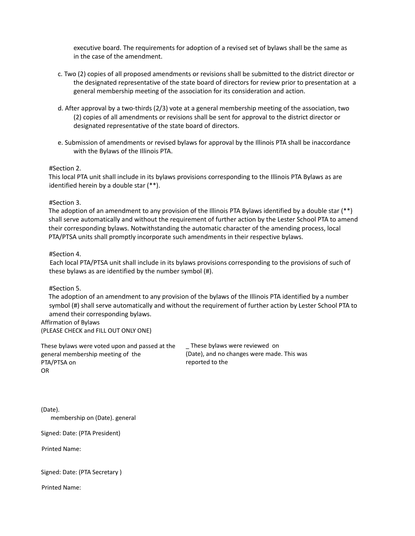executive board. The requirements for adoption of a revised set of bylaws shall be the same as in the case of the amendment.

- c. Two (2) copies of all proposed amendments or revisions shall be submitted to the district director or the designated representative of the state board of directors for review prior to presentation at a general membership meeting of the association for its consideration and action.
- d. After approval by a two-thirds (2/3) vote at a general membership meeting of the association, two (2) copies of all amendments or revisions shall be sent for approval to the district director or designated representative of the state board of directors.
- e. Submission of amendments or revised bylaws for approval by the Illinois PTA shall be inaccordance with the Bylaws of the Illinois PTA.

## #Section 2.

This local PTA unit shall include in its bylaws provisions corresponding to the Illinois PTA Bylaws as are identified herein by a double star (\*\*).

#### #Section 3.

The adoption of an amendment to any provision of the Illinois PTA Bylaws identified by a double star (\*\*) shall serve automatically and without the requirement of further action by the Lester School PTA to amend their corresponding bylaws. Notwithstanding the automatic character of the amending process, local PTA/PTSA units shall promptly incorporate such amendments in their respective bylaws.

#### #Section 4.

Each local PTA/PTSA unit shall include in its bylaws provisions corresponding to the provisions of such of these bylaws as are identified by the number symbol (#).

#### #Section 5.

The adoption of an amendment to any provision of the bylaws of the Illinois PTA identified by a number symbol (#) shall serve automatically and without the requirement of further action by Lester School PTA to amend their corresponding bylaws.

## Affirmation of Bylaws

(PLEASE CHECK and FILL OUT ONLY ONE)

These bylaws were voted upon and passed at the general membership meeting of the PTA/PTSA on OR

\_ These bylaws were reviewed on (Date), and no changes were made. This was reported to the

(Date). membership on (Date). general

Signed: Date: (PTA President)

Printed Name:

|  | Signed: Date: (PTA Secretary) |  |
|--|-------------------------------|--|
|  |                               |  |

Printed Name: